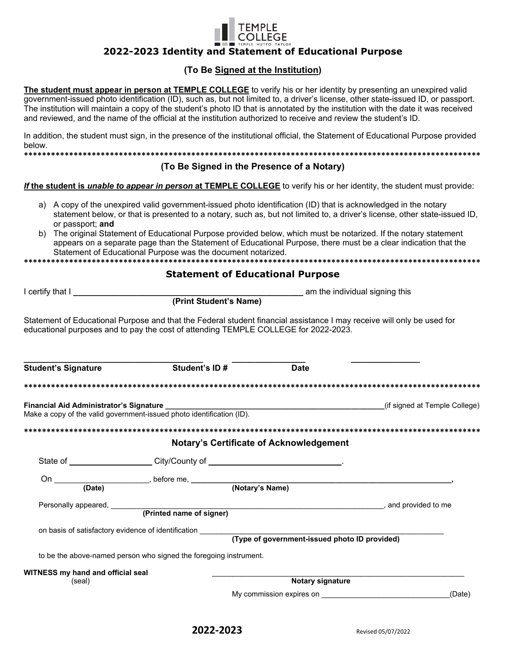## 2022-2023 Identity and Statement of Educational Purpose

## (To Be Signed at the Institution)

The student must appear in person at TEMPLE COLLEGE to verify his or her identity by presenting an unexpired valid government-issued photo identification (ID), such as, but not limited to, a driver's license, other state-issued ID, or passport. The institution will maintain a copy of the student's photo ID that is annotated by the institution with the date it was received and reviewed, and the name of the official at the institution authorized to receive and review the student's ID.

In addition, the student must sign, in the presence of the institutional official, the Statement of Educational Purpose provided below.

## (To Be Signed in the Presence of a Notary)

#### If the student is unable to appear in person at TEMPLE COLLEGE to verify his or her identity, the student must provide:

- a) A copy of the unexpired valid government-issued photo identification (ID) that is acknowledged in the notary statement below, or that is presented to a notary, such as, but not limited to, a driver's license, other state-issued ID, or passport; and
- b) The original Statement of Educational Purpose provided below, which must be notarized. If the notary statement appears on a separate page than the Statement of Educational Purpose, there must be a clear indication that the Statement of Educational Purpose was the document notarized.

### **Statement of Educational Purpose**

I certify that I

(Print Student's Name)

Statement of Educational Purpose and that the Federal student financial assistance I may receive will only be used for educational purposes and to pay the cost of attending TEMPLE COLLEGE for 2022-2023.

| <b>Student's Signature</b>        | Student's ID#                                                     |                                                | <b>Date</b>                                   |                                                     |  |  |
|-----------------------------------|-------------------------------------------------------------------|------------------------------------------------|-----------------------------------------------|-----------------------------------------------------|--|--|
|                                   |                                                                   |                                                |                                               |                                                     |  |  |
|                                   |                                                                   |                                                |                                               |                                                     |  |  |
|                                   |                                                                   |                                                |                                               |                                                     |  |  |
|                                   |                                                                   | <b>Notary's Certificate of Acknowledgement</b> |                                               |                                                     |  |  |
|                                   |                                                                   |                                                |                                               |                                                     |  |  |
|                                   |                                                                   |                                                |                                               |                                                     |  |  |
|                                   |                                                                   |                                                |                                               |                                                     |  |  |
|                                   |                                                                   |                                                |                                               | (Printed name of signer) example and provided to me |  |  |
|                                   |                                                                   |                                                |                                               |                                                     |  |  |
|                                   | on basis of satisfactory evidence of identification               |                                                |                                               |                                                     |  |  |
|                                   |                                                                   |                                                | (Type of government-issued photo ID provided) |                                                     |  |  |
|                                   | to be the above-named person who signed the foregoing instrument. |                                                |                                               |                                                     |  |  |
| WITNESS my hand and official seal |                                                                   |                                                |                                               |                                                     |  |  |
| (seal)                            |                                                                   | Notary signature                               |                                               |                                                     |  |  |
|                                   |                                                                   |                                                |                                               | (Date)                                              |  |  |
|                                   |                                                                   |                                                |                                               |                                                     |  |  |

am the individual signing this